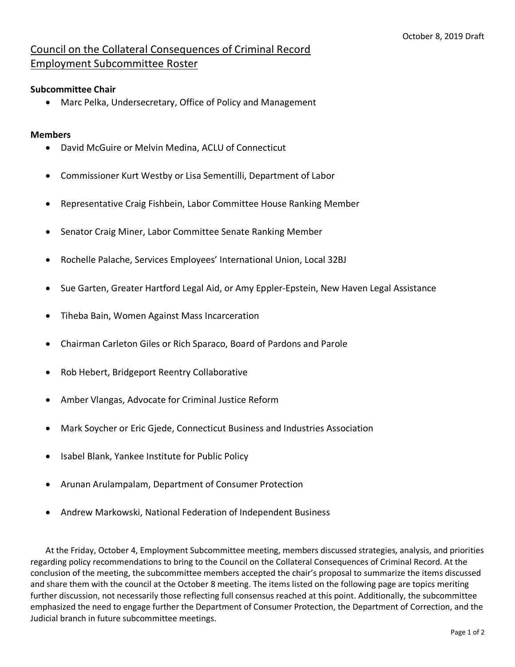## Council on the Collateral Consequences of Criminal Record Employment Subcommittee Roster

## **Subcommittee Chair**

• Marc Pelka, Undersecretary, Office of Policy and Management

## **Members**

- David McGuire or Melvin Medina, ACLU of Connecticut
- Commissioner Kurt Westby or Lisa Sementilli, Department of Labor
- Representative Craig Fishbein, Labor Committee House Ranking Member
- Senator Craig Miner, Labor Committee Senate Ranking Member
- Rochelle Palache, Services Employees' International Union, Local 32BJ
- Sue Garten, Greater Hartford Legal Aid, or Amy Eppler-Epstein, New Haven Legal Assistance
- Tiheba Bain, Women Against Mass Incarceration
- Chairman Carleton Giles or Rich Sparaco, Board of Pardons and Parole
- Rob Hebert, Bridgeport Reentry Collaborative
- Amber Vlangas, Advocate for Criminal Justice Reform
- Mark Soycher or Eric Gjede, Connecticut Business and Industries Association
- Isabel Blank, Yankee Institute for Public Policy
- Arunan Arulampalam, Department of Consumer Protection
- Andrew Markowski, National Federation of Independent Business

At the Friday, October 4, Employment Subcommittee meeting, members discussed strategies, analysis, and priorities regarding policy recommendations to bring to the Council on the Collateral Consequences of Criminal Record. At the conclusion of the meeting, the subcommittee members accepted the chair's proposal to summarize the items discussed and share them with the council at the October 8 meeting. The items listed on the following page are topics meriting further discussion, not necessarily those reflecting full consensus reached at this point. Additionally, the subcommittee emphasized the need to engage further the Department of Consumer Protection, the Department of Correction, and the Judicial branch in future subcommittee meetings.